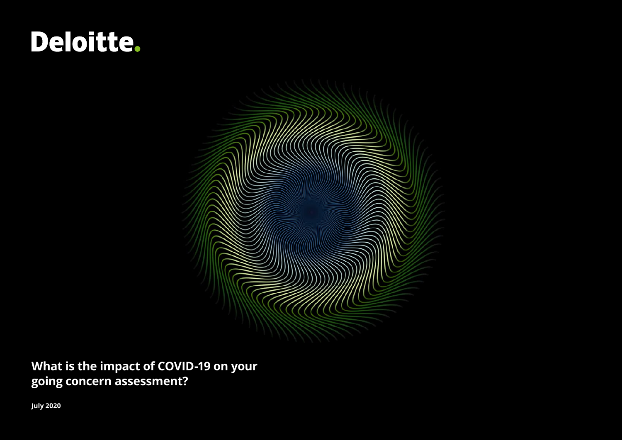# Deloitte.



**What is the impact of COVID-19 on your going concern assessment?**

**July 2020**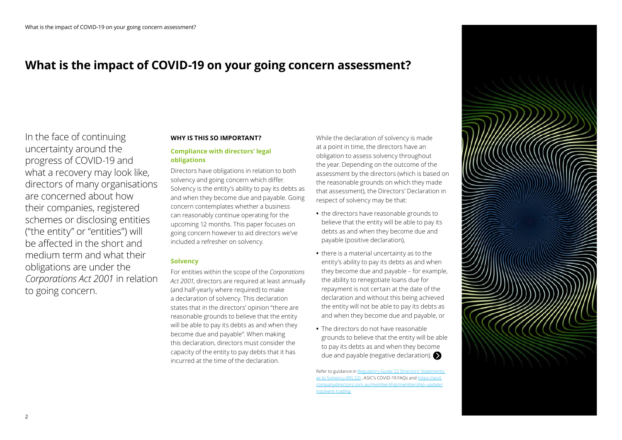### **What is the impact of COVID-19 on your going concern assessment?**

In the face of continuing uncertainty around the progress of COVID-19 and what a recovery may look like, directors of many organisations are concerned about how their companies, registered schemes or disclosing entities ("the entity" or "entities") will be affected in the short and medium term and what their obligations are under the *Corporations Act 2001* in relation to going concern.

#### **WHY IS THIS SO IMPORTANT?**

#### **Compliance with directors' legal obligations**

Directors have obligations in relation to both solvency and going concern which differ. Solvency is the entity's ability to pay its debts as and when they become due and payable. Going concern contemplates whether a business can reasonably continue operating for the upcoming 12 months. This paper focuses on going concern however to aid directors we've included a refresher on solvency.

#### **Solvency**

For entities within the scope of the *Corporations Act 2001*, directors are required at least annually (and half-yearly where required) to make a declaration of solvency. This declaration states that in the directors' opinion "there are reasonable grounds to believe that the entity will be able to pay its debts as and when they become due and payable". When making this declaration, directors must consider the capacity of the entity to pay debts that it has incurred at the time of the declaration.

While the declaration of solvency is made at a point in time, the directors have an obligation to assess solvency throughout the year. Depending on the outcome of the assessment by the directors (which is based on the reasonable grounds on which they made that assessment), the Directors' Declaration in respect of solvency may be that:

- **•** the directors have reasonable grounds to believe that the entity will be able to pay its debts as and when they become due and payable (positive declaration),
- **•** there is a material uncertainty as to the entity's ability to pay its debts as and when they become due and payable – for example, the ability to renegotiate loans due for repayment is not certain at the date of the declaration and without this being achieved the entity will not be able to pay its debts as and when they become due and payable, or
- **•** The directors do not have reasonable grounds to believe that the entity will be able to pay its debts as and when they become due and payable (negative declaration)[.](#page-2-0)

Refer to guidance in Regulatory Guide 22 Directors' Statements ency (RG 22) , ASIC's COVID-19 FAOs and [https://aicd.](https://aicd.companydirectors.com.au/membership/membership-update/insolvent-trading) lirectors.com.au/membership/membership [insolvent-trading](https://aicd.companydirectors.com.au/membership/membership-update/insolvent-trading)

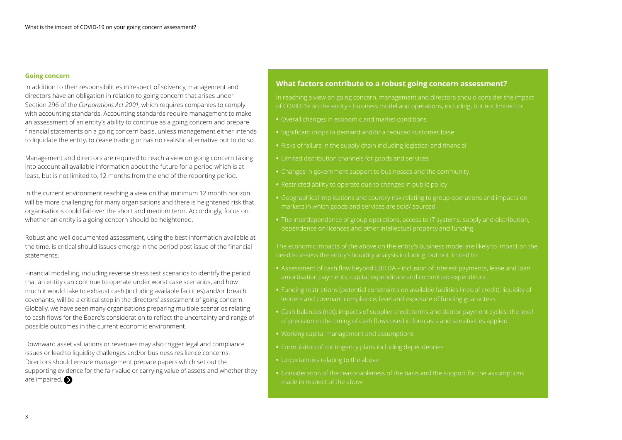#### <span id="page-2-0"></span>**Going concern**

In addition to their responsibilities in respect of solvency, management and directors have an obligation in relation to going concern that arises under Section 296 of the *Corporations Act 2001*, which requires companies to comply with accounting standards. Accounting standards require management to make an assessment of an entity's ability to continue as a going concern and prepare financial statements on a going concern basis, unless management either intends to liquidate the entity, to cease trading or has no realistic alternative but to do so.

Management and directors are required to reach a view on going concern taking into account all available information about the future for a period which is at least, but is not limited to, 12 months from the end of the reporting period.

In the current environment reaching a view on that minimum 12 month horizon will be more challenging for many organisations and there is heightened risk that organisations could fail over the short and medium term. Accordingly, focus on whether an entity is a going concern should be heightened.

Robust and well documented assessment, using the best information available at the time, is critical should issues emerge in the period post issue of the financial statements.

Financial modelling, including reverse stress test scenarios to identify the period that an entity can continue to operate under worst case scenarios, and how much it would take to exhaust cash (including available facilities) and/or breach covenants, will be a critical step in the directors' assessment of going concern. Globally, we have seen many organisations preparing multiple scenarios relating to cash flows for the Board's consideration to reflect the uncertainty and range of possible outcomes in the current economic environment.

Downward asset valuations or revenues may also trigger legal and compliance issues or lead to liquidity challenges and/or business resilience concerns. Directors should ensure management prepare papers which set out the supporting evidence for the fair value or carrying value of assets and whether they are impaired.

#### **What factors contribute to a robust going concern assessment?**

In reaching a view on going concern, management and directors should consider the impact of COVID-19 on the entity's business model and operations, including, but not limited to:

- **•** Overall changes in economic and market conditions
- **•** Significant drops in demand and/or a reduced customer base
- 
- **•** Limited distribution channels for goods and services
- 
- **•** Restricted ability to operate due to changes in public policy
- markets in which goods and services are sold/ sourced
- **•** The interdependence of group operations, access to IT systems, supply and distribution,

The economic impacts of the above on the entity's business model are likely to impact on the

- **•** Assessment of cash flow beyond EBITDA inclusion of interest payments, lease and loan
- **•** Funding restrictions (potential constraints on available facilities lines of credit), liquidity of lenders and covenant compliance; level and exposure of funding guarantees
- of precision in the timing of cash flows used in forecasts and sensitivities applied
- 
- **•** Formulation of contingency plans including dependencies
- **•** Uncertainties relating to the above
- **•** Consideration of the reasonableness of the basis and the support for the assumptions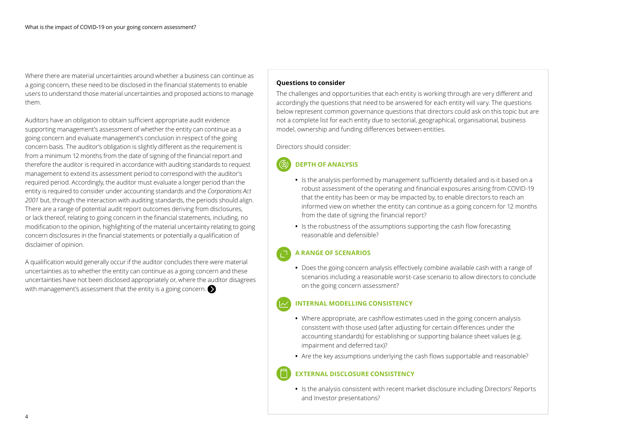<span id="page-3-0"></span>Where there are material uncertainties around whether a business can continue as a going concern, these need to be disclosed in the financial statements to enable users to understand those material uncertainties and proposed actions to manage them.

Auditors have an obligation to obtain sufficient appropriate audit evidence supporting management's assessment of whether the entity can continue as a going concern and evaluate management's conclusion in respect of the going concern basis. The auditor's obligation is slightly different as the requirement is from a minimum 12 months from the date of signing of the financial report and therefore the auditor is required in accordance with auditing standards to request management to extend its assessment period to correspond with the auditor's required period. Accordingly, the auditor must evaluate a longer period than the entity is required to consider under accounting standards and the *Corporations Act 2001* but, through the interaction with auditing standards, the periods should align. There are a range of potential audit report outcomes deriving from disclosures, or lack thereof, relating to going concern in the financial statements, including, no modification to the opinion, highlighting of the material uncertainty relating to going concern disclosures in the financial statements or potentially a qualification of disclaimer of opinion.

A qualification would generally occur if the auditor concludes there were material uncertainties as to whether the entity can continue as a going concern and these uncertainties have not been disclosed appropriately or, where the auditor disagrees with management's assessment that the entity is a going concern.

#### **Questions to consider**

The challenges and opportunities that each entity is working through are very different and accordingly the questions that need to be answered for each entity will vary. The questions below represent common governance questions that directors could ask on this topic but are not a complete list for each entity due to sectorial, geographical, organisational, business model, ownership and funding differences between entities.

Directors should consider:

#### **DEPTH OF ANALYSIS**

- **•** Is the analysis performed by management sufficiently detailed and is it based on a robust assessment of the operating and financial exposures arising from COVID-19 that the entity has been or may be impacted by, to enable directors to reach an informed view on whether the entity can continue as a going concern for 12 months from the date of signing the financial report?
- **•** Is the robustness of the assumptions supporting the cash flow forecasting reasonable and defensible?

#### **A RANGE OF SCENARIOS**

**•** Does the going concern analysis effectively combine available cash with a range of scenarios including a reasonable worst-case scenario to allow directors to conclude on the going concern assessment?

#### **INTERNAL MODELLING CONSISTENCY**

- **•** Where appropriate, are cashflow estimates used in the going concern analysis consistent with those used (after adjusting for certain differences under the accounting standards) for establishing or supporting balance sheet values (e.g. impairment and deferred tax)?
- **•** Are the key assumptions underlying the cash flows supportable and reasonable?

#### **EXTERNAL DISCLOSURE CONSISTENCY**

**•** Is the analysis consistent with recent market disclosure including Directors' Reports and Investor presentations?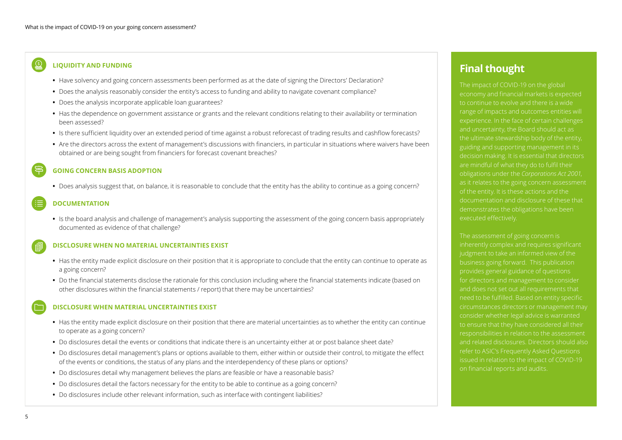#### <span id="page-4-0"></span> $\Omega$ **LIQUIDITY AND FUNDING**

- **•** Have solvency and going concern assessments been performed as at the date of signing the Directors' Declaration?
- **•** Does the analysis reasonably consider the entity's access to funding and ability to navigate covenant compliance?
- **•** Does the analysis incorporate applicable loan guarantees?
- **•** Has the dependence on government assistance or grants and the relevant conditions relating to their availability or termination been assessed?
- **•** Is there sufficient liquidity over an extended period of time against a robust reforecast of trading results and cashflow forecasts?
- Are the directors across the extent of management's discussions with financiers, in particular in situations where waivers have been obtained or are being sought from financiers for forecast covenant breaches?

#### **GOING CONCERN BASIS ADOPTION**

**•** Does analysis suggest that, on balance, it is reasonable to conclude that the entity has the ability to continue as a going concern?

#### **DOCUMENTATION**

• Is the board analysis and challenge of management's analysis supporting the assessment of the going concern basis appropriately documented as evidence of that challenge?

#### **DISCLOSURE WHEN NO MATERIAL UNCERTAINTIES EXIST**

- **•** Has the entity made explicit disclosure on their position that it is appropriate to conclude that the entity can continue to operate as a going concern?
- **•** Do the financial statements disclose the rationale for this conclusion including where the financial statements indicate (based on other disclosures within the financial statements / report) that there may be uncertainties?

#### **DISCLOSURE WHEN MATERIAL UNCERTAINTIES EXIST**

- **•** Has the entity made explicit disclosure on their position that there are material uncertainties as to whether the entity can continue to operate as a going concern?
- **•** Do disclosures detail the events or conditions that indicate there is an uncertainty either at or post balance sheet date?
- **•** Do disclosures detail management's plans or options available to them, either within or outside their control, to mitigate the effect of the events or conditions, the status of any plans and the interdependency of these plans or options?
- **•** Do disclosures detail why management believes the plans are feasible or have a reasonable basis?
- **•** Do disclosures detail the factors necessary for the entity to be able to continue as a going concern?
- **•** Do disclosures include other relevant information, such as interface with contingent liabilities?

### **Final thought**

to continue to evolve and there is a wide range of impacts and outcomes entities will experience. In the face of certain challenges and uncertainty, the Board should act as the ultimate stewardship body of the entity, guiding and supporting management in its decision making. It is essential that directors are mindful of what they do to fulfil their obligations under the *Corporations Act 2001*, as it relates to the going concern assessment of the entity. It is these actions and the documentation and disclosure of these that demonstrates the obligations have been executed effectively.

inherently complex and requires significant judgment to take an informed view of the business going forward. This publication and does not set out all requirements that circumstances directors or management may consider whether legal advice is warranted responsibilities in relation to the assessment and related disclosures. Directors should also refer to ASIC's Frequently Asked Questions issued in relation to the impact of COVID-19 on financial reports and audits.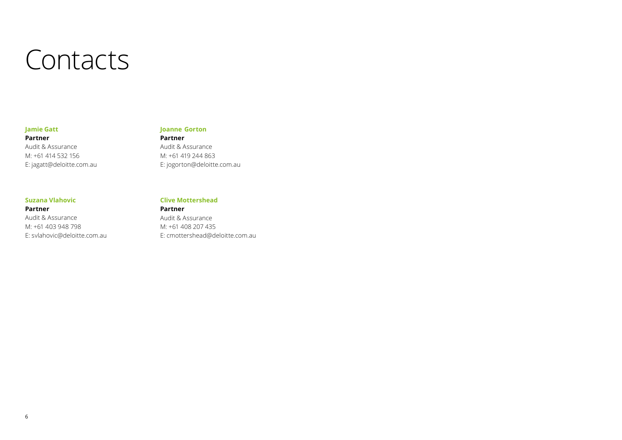## **Contacts**

#### **Jamie Gatt**

**Joanne  Gorton** 

#### **Partner** Audit & Assurance M: +61 414 532 156 E: jagatt@deloitte.com.au

**Partner** Audit & Assurance M: +61 419 244 863 E: jogorton@deloitte.com.au

#### **Suzana Vlahovic**

#### **Partner** Audit & Assurance M: +61 403 948 798 E: svlahovic@deloitte.com.au

#### **Clive Mottershead**

#### **Partner**

Audit & Assurance M: +61 408 207 435 E: cmottershead@deloitte.com.au